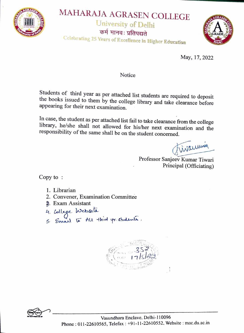

## MAHARAJA AGRASEN COLLEGE

**University of Delhi** 

कर्म मानवः प्रतिपद्यते



Celebrating 25 Years of Excellence in Higher Education

May, 17, 2022

Notice

Students of third year as per attached list students are required to deposit the books issued to them by the college library and take clearance before appearing for their next examination.

In case, the student as per attached list fail to take clearance from the college library, he/she shall not allowed for his/her next examination and the responsibility of the same shall be on the student concerned.

inaumin

Professor Sanjeev Kumar Tiwari Principal (Officiating)

 $Copy to :$ 

- 1. Librarian
- 2. Convener, Examination Committee
- 2. Exam Assistant
- 
- 4. College Website<br>5. Email 15 All third yrs students.



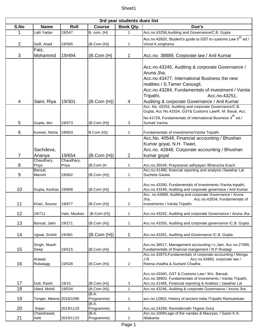| 3rd year students dues list |                                              |                     |                            |                     |                                                                                                                                                                                                                                                                   |  |  |  |
|-----------------------------|----------------------------------------------|---------------------|----------------------------|---------------------|-------------------------------------------------------------------------------------------------------------------------------------------------------------------------------------------------------------------------------------------------------------------|--|--|--|
| S.No                        | <b>Name</b>                                  | Roll                | <b>Course</b>              | Book Qty.           | Due's                                                                                                                                                                                                                                                             |  |  |  |
| 1                           | Lalit Yadav                                  | 19/547              | B. com. (H)                | 1                   | Acc.no.43258, Auditing and Governance/C.B. Gupta                                                                                                                                                                                                                  |  |  |  |
|                             |                                              |                     |                            |                     | Acc.no.42820, Student's guide to GST to customs Law $5^{\sf th}$ ed./                                                                                                                                                                                             |  |  |  |
| $\overline{c}$              | Saifi, Asad                                  | 19/565              | (B.Com (H))                | 1                   | Vinod K.singhania                                                                                                                                                                                                                                                 |  |  |  |
|                             | Faiz,                                        |                     |                            |                     |                                                                                                                                                                                                                                                                   |  |  |  |
| 3                           | Mohammd                                      | 19/494              | (B.Com (H)                 | 1                   | Acc.no. 38889, Corporate law / Anil Kumar                                                                                                                                                                                                                         |  |  |  |
|                             |                                              |                     |                            |                     | Acc.no.43245, Auditing & corporate Governance /<br>Aruna Jha,<br>Acc.no.43477, International Business the new<br>realities / S. Tamer Cavusgil,<br>Acc.no.43284, Fundamentals of investment / Vanita<br>Tripathi,<br>Acc.no.43251,                                |  |  |  |
| 4                           | Saini, Riya                                  | 19/301              | (B.Com(H))                 | 4                   | Auditing & corporate Governance / Anil Kumar                                                                                                                                                                                                                      |  |  |  |
|                             |                                              |                     |                            |                     | Acc. No. 43254, Auditing and corporate Governance/C.B.<br>Gupta, Acc No.43334, GST& Customs Law/K. M. Basal, Acc.<br>No.41729, Fundamentals of international Business 4 <sup>th</sup> ed./                                                                        |  |  |  |
| 5                           | Gupta, dev                                   | 19/573              | (B.Com (H))                | 3                   | Sumati Varma                                                                                                                                                                                                                                                      |  |  |  |
| 6                           | Kumari, Nisha                                | 19/653              | B.Com (H))                 | 1                   | Fundamentals of investments/Vanita Tripathi                                                                                                                                                                                                                       |  |  |  |
|                             | Sachdeva,                                    |                     |                            |                     | Acc.No. 40548, Financial accounting / Bhushan<br>Kumar goyal, N.H. Tiwari,<br>Acc.no. 42848, Corporate accounting / Bhushan                                                                                                                                       |  |  |  |
| $\overline{7}$              | Ananya                                       | 19/654              | (B.Com(H))                 | $\overline{2}$      | kumar goyal                                                                                                                                                                                                                                                       |  |  |  |
| 8                           | Chaudhary,<br>Priya                          | Chaudhary,<br>Priya | (B.Com (H                  | 1                   | Acc.no.35549, Prayavaran adhyayan /Bharucha Erach                                                                                                                                                                                                                 |  |  |  |
| 9                           | Bansal,<br>Manshi                            | 19/662              | (B.Com (H))                | $\mathbf{1}$        | Acc.no.41490, financial reporting and analysis /Jawahar Lal<br>Sucheta Gauba                                                                                                                                                                                      |  |  |  |
| 10<br>11                    | Gupta, Keshav 19/668<br>Khari, Sourav 19/677 |                     | (B.Com(H))<br>(B. Com (H)) | $\overline{a}$<br>2 | Acc.no.43280, Fundamentals of investments / Vanita tripathi,<br>Acc.no.43249, Auditing and corporate governace / Anil Kumar<br>Acc. no.42858, Auditing and corporate Governance / Aruna<br>Jha,<br>Acc.no.42834, Fundamentals of<br>investments / Vanita Tripathi |  |  |  |
| 12 <sub>2</sub>             | 19/711                                       | Vats, Muskan        | (B.Com(H))                 | 1                   | Acc.no.43242, Auditing and corporate Governance / Aruna Jha                                                                                                                                                                                                       |  |  |  |
|                             |                                              |                     |                            |                     |                                                                                                                                                                                                                                                                   |  |  |  |
| 13                          | Bansal, Jatin                                | 19/271              | (B.Com(H))                 | 1                   | Acc.no.43255, Auditing and corporate governance /C.B. Gupta                                                                                                                                                                                                       |  |  |  |
| 14                          | Ujjwal, Srishti                              | 19/481              | (B.Com (H))                | 1                   | Acc.no.43261, Auditing and Governance /C.B. Gupta                                                                                                                                                                                                                 |  |  |  |
| 15                          | Singh, Akash<br>Deep                         | 19/515              | (B.Com(H))                 | $\overline{a}$      | Acc.no.38517, Management accounting I.c.Jain, Acc.no.27995,<br>Fundamentals of financial mangement / R.P.Rustagi<br>Acc.no.42875, Fundamentals of corporate accounting / Monga<br>Acc.no.42883, corporate law /<br>J.R.                                           |  |  |  |
| 16                          | Arawal,<br>Rubalagg                          | 19/528              | (B.Com(H))                 | $\overline{a}$      | Reena chadha & Sumant Chadha                                                                                                                                                                                                                                      |  |  |  |
| 17<br>18                    | Dutt, Rashi<br>Ubed, Mohd                    | 19/15<br>19/534     | (B.Com (H))<br>(B.Com (H)) | 3<br>$\mathbf{1}$   | Acc.no.43340, GST & Customs Law / M.k. Bansal,<br>Acc.no.38903, Fundamentals of investments / Vanita Tripathi,<br>Acc.no.41485, Financial reporting & Analtsis / Jawahar Lal<br>Acc.no.43246, Auditing & corporate Governance / Aruna Jha                         |  |  |  |
|                             |                                              |                     | (B.A.                      |                     |                                                                                                                                                                                                                                                                   |  |  |  |
| 19                          | Tonger, Meena 2019/1096                      |                     | Programme)                 | 1                   | acc.no.12863, History of ancient india /Tripathi Ramsankaer                                                                                                                                                                                                       |  |  |  |
| 20                          | Srijan                                       | 2019/1119           | (B.A.<br>Programme)        | $\mathbf{1}$        | Acc.no.24299, Ravindernath Tegore Gora                                                                                                                                                                                                                            |  |  |  |
| 21                          | Chandrawat,<br>Aditi                         | 2019/1123           | (B.A.<br>Programme)        | 1                   | Acc.no.10094,age of the nandas & Mauryas, / Sastri K.A.<br>Nilakanta                                                                                                                                                                                              |  |  |  |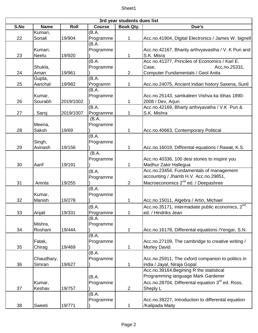|      | 3rd year students dues list |           |                     |                |                                                              |  |  |  |
|------|-----------------------------|-----------|---------------------|----------------|--------------------------------------------------------------|--|--|--|
| S.No | <b>Name</b>                 | Roll      | <b>Course</b>       | Book Qty.      | Due's                                                        |  |  |  |
|      | Kumari,                     |           | (B.A.               |                |                                                              |  |  |  |
| 22   | Sonali                      | 19/904    | Programme           | 1              | Acc.no.41904, Digital Electronics / James W. bignell         |  |  |  |
|      |                             |           | $(B.\overline{A.})$ |                |                                                              |  |  |  |
|      | Kumari,                     |           | Programme           |                | Acc.no.42167, Bharity arthvyavastha / V. K Puri and          |  |  |  |
| 23   | Neetu                       | 19/920    |                     | 1              | S.K. Misra                                                   |  |  |  |
|      |                             |           | (B.A.               |                | Acc no.41377, Princiles of Economics / Karl E.               |  |  |  |
|      | Shukla,                     |           | Programme           |                | Acc.no.25331,<br>Case,                                       |  |  |  |
| 24   | Aman                        | 19/961    | (B.A.               | $\overline{2}$ | Computer Fundamentals / Geol Anita                           |  |  |  |
| 25   | Gupta,                      |           |                     | 1              |                                                              |  |  |  |
|      | Aanchal                     | 19/982    | Programm<br>(B.A.   |                | Acc.no.24075, Ancient indian history Saxena, Sunil           |  |  |  |
|      | Kumar,                      |           | Programme           |                | Acc.no.25143, samkaleen Vishva ka Itihas 1890-               |  |  |  |
| 26   | Sourabh                     | 2019/1002 |                     | 1              | 2008 / Dev, Arjun                                            |  |  |  |
|      |                             |           | (B.A.               |                | Acc.no.42169, Bharty arthvyavatha / V.K Puri &               |  |  |  |
| 27   | Saroj                       | 2019/1007 | Programme           | 1              | S.K. Mishra                                                  |  |  |  |
|      |                             |           | (B.A.               |                |                                                              |  |  |  |
|      | Meena,                      |           | Programme           |                |                                                              |  |  |  |
| 28   | Saksh                       | 19/69     |                     | 1              | Acc.no.40663, Contemporary Political                         |  |  |  |
|      |                             |           | (B.A.               |                |                                                              |  |  |  |
|      | Singh,                      |           | Programme           |                |                                                              |  |  |  |
| 29   | Avinash                     | 19/156    |                     | 1              | Acc.no.16019, Diffirental equations / Rawat, K.S.            |  |  |  |
|      |                             |           | (B.A.               |                |                                                              |  |  |  |
|      |                             |           | Programme           |                | Acc.no.40336, 100 desi stories to inspire you                |  |  |  |
| 30   | Aarif                       | 19/191    |                     | 1              | Madhur Zakir Hallegua                                        |  |  |  |
|      |                             |           | (B.A.               |                | Acc.no.23454, Fundamentals of management                     |  |  |  |
|      |                             |           | Programme           |                | accounting / Jhamb H.V. Acc.no.29851,                        |  |  |  |
| 31   | Amrita                      | 19/255    |                     | $\overline{2}$ | Macroeconomics 2 <sup>nd</sup> ed. / Deepashree              |  |  |  |
|      |                             |           | (B.A.               |                |                                                              |  |  |  |
|      | Kumar,                      |           | Programme           |                |                                                              |  |  |  |
| 32   | Manish                      | 19/278    |                     | 1              | Acc.no.15011, Algebra / Artin, Michael                       |  |  |  |
|      |                             |           | (B.A.               |                | Acc.no.35171, intermadiate public economics, 2 <sup>nd</sup> |  |  |  |
| 33   | Anjali                      | 19/331    | Programme           | 1              | ed. / Hindriks Jean                                          |  |  |  |
|      |                             |           | (B.A.               |                |                                                              |  |  |  |
|      | Mishra,                     |           | Programme           |                |                                                              |  |  |  |
| 34   | Roshani                     | 19/444    |                     | 1              | Acc.no.16178, Differental equations /Yengar, S.N.            |  |  |  |
|      |                             |           | (B.A.               |                |                                                              |  |  |  |
|      | Fatak,                      |           | Programme           |                | Acc.no.27109, The cambridge to creative writing /            |  |  |  |
| 35   | Chirag                      | 19/469    |                     | 1              | Morley David                                                 |  |  |  |
|      |                             |           | (B.A.               |                |                                                              |  |  |  |
|      | Chaudhary,                  |           | Programme           |                | Acc.no.25911, The oxford companion to politics in            |  |  |  |
| 36   | Simran                      | 19/627    |                     | $\mathbf 1$    | india / Jayal, Niraja Gopal                                  |  |  |  |
|      |                             |           |                     |                | Acc.no.39164, Begining R the statistical                     |  |  |  |
|      |                             |           | (B.A.               |                | Programming language Mark Gardener                           |  |  |  |
|      | Kumar,                      |           | Programme           |                | Acc.no.28704, Differental equation 3 <sup>rd</sup> ed. Ross, |  |  |  |
| 37   | Keshav                      | 19/757    |                     | $\overline{2}$ | Sheply L                                                     |  |  |  |
|      |                             |           | (B.A.               |                |                                                              |  |  |  |
|      |                             |           | Programme           |                | Acc.no.39227, Introduction to differental equation           |  |  |  |
| 38   | Sweeti                      | 19/771    |                     | 1              | /Kalipada Maity                                              |  |  |  |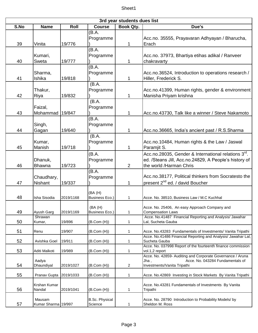| 3rd year students dues list |                               |           |                                  |                  |                                                                                                                                         |  |  |
|-----------------------------|-------------------------------|-----------|----------------------------------|------------------|-----------------------------------------------------------------------------------------------------------------------------------------|--|--|
| S.No                        | <b>Name</b>                   | Roll      | <b>Course</b>                    | <b>Book Qty.</b> | Due's                                                                                                                                   |  |  |
| 39                          | Vinita                        | 19/776    | (B.A.<br>Programme               | 1                | Acc.no. 35555, Prayavaran Adhyayan / Bharucha,<br>Erach                                                                                 |  |  |
| 40                          | Kumari,<br>Sweta              | 19/777    | (B.A.<br>Programme               | 1                | Acc.no. 37973, Bhartiya etihas adikal / Ranveer<br>chakravarty                                                                          |  |  |
| 41                          | Sharma,<br>Ishika             | 19/818    | (B.A.<br>Programme               | 1                | Acc.no.36524, Introduction to operations research /<br>Hiller, Frederick S.                                                             |  |  |
| 42                          | Thakur,<br>Riya               | 19/832    | (B.A.<br>Programme               | 1                | Acc.no.41399, Human rights, gender & environment<br>Manisha Priyam krishna                                                              |  |  |
| 43                          | Faizal,<br>Mohammad           | 19/847    | (B.A.<br>Programme               | 1                | Acc.no.43730, Talk like a winner / Steve Nakamoto                                                                                       |  |  |
| 44                          | Singh,<br>Gagan               | 19/640    | (B.A.<br>Programme               | 1                | Acc.no.36665, India's ancient past / R.S.Sharma                                                                                         |  |  |
| 45                          | Kumar,<br>Manish              | 19/718    | (B.A.<br>Programme               | 1                | Acc.no.10484, Human rights & the Law / Jaswal<br>Paramjit S.                                                                            |  |  |
| 46                          | Dhanuk,<br>Bhawna             | 19/723    | (B.A.<br>Programme               | $\overline{2}$   | Acc.no.28035, Gender & International relations 3rd.<br>ed. /Steans Jill, Acc.no.24829, A People's history of<br>the world /Harman Chris |  |  |
| 47                          | Chaudhary,<br>Nishant         | 19/337    | (B.A.<br>Programme               | 1                | Acc.no.38177, Political thinkers from Socratesto the<br>present 2 <sup>nd</sup> ed. / david Boucher                                     |  |  |
| 48                          | Isha Sisodia                  | 2019/1168 | (BA (H)<br><b>Business Eco.)</b> | 1                | Acce. No. 38510, Business Law / M.C Kuchhal                                                                                             |  |  |
| 49                          | Ayush Garg                    | 2019/1169 | (BA(H))<br>Business Eco.)        | 1                | Acce. No. 25406, An easy Approach Company and<br><b>Compensation Laws</b>                                                               |  |  |
| 50                          | Shrawan<br>Kumar,             | 19/896    | (B.Com (H))                      | 1                | Acce. No.41487 Financial Reporting and Analysis/ Jawahar<br>Lal, Sucheta Gauba                                                          |  |  |
| 51                          | Renu                          | 19/907    | (B.Com(H))                       | 1                | Acce. No.43283 Fundamentals of Investments/ Vanita Tripathi                                                                             |  |  |
| 52                          | Avishka Goel                  | 19/911    | (B.Com (H))                      | 1                | Acce. No.41486 Financial Reporting and Analysis/ Jawahar Lal,<br>Sucheta Gauba                                                          |  |  |
| 53                          | Aditi Malkoti                 | 19/989    | (B.Com(H))                       | 1                | Acce. No. 037998 Report of the fourteenth finance commission<br>vol.1,2 report                                                          |  |  |
| 54                          | Aadya<br>Dhaundiyal           | 2019/1027 | (B.Com(H))                       | $\overline{c}$   | Acce. No. 42859- Auditing and Corporate Governance / Aruna<br>Acce. No. 043284 Fundamentals of<br>Jha .<br>Investments/Vanita Tripathi  |  |  |
| 55                          | Pranav Gupta                  | 2019/1033 | (B.Com (H))                      | 1                | Acce. No.42869 Investing in Stock Markets By Vanita Tripathi                                                                            |  |  |
| 56                          | Krshan Kumar<br>Nandal        | 2019/1041 | (B.Com(H))                       | 1                | Acce. No.43281 Fundamentals of Investments By Vanita<br>Tripathi                                                                        |  |  |
| 57                          | Mausam<br>Kumar Sharma 19/997 |           | <b>B.Sc. Physical</b><br>Science | 1                | Acce. No. 28790 Introduction to Probability Models/ by<br>Sheldon M. Ross                                                               |  |  |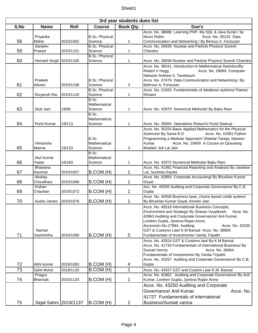| 3rd year students dues list |                        |           |                                  |                  |                                                                                                                     |  |  |  |
|-----------------------------|------------------------|-----------|----------------------------------|------------------|---------------------------------------------------------------------------------------------------------------------|--|--|--|
| S.No                        | <b>Name</b>            | Roll      | <b>Course</b>                    | <b>Book Qty.</b> | Due's                                                                                                               |  |  |  |
|                             |                        |           |                                  |                  | Acce. No. 38688 Learning PHP, My SQL & Java Script / by                                                             |  |  |  |
|                             | Priyanka               |           | <b>B.Sc. Physical</b>            |                  | Acce. No. 35142 Data<br>Nixon Robin                                                                                 |  |  |  |
| 58                          | Mahto                  | 2019/1082 | Science                          | $\overline{c}$   | Communication and Networking / By Berouz A. Forouzan<br>Acce. No. 26939 Nuclear and Particle Physics/ Suresh        |  |  |  |
| 59                          | Sanjeev<br>Prasad      | 2019/1101 | <b>B.Sc. Physical</b><br>Science | 1                | Chandra                                                                                                             |  |  |  |
|                             |                        |           | <b>B.Sc. Physical</b>            |                  |                                                                                                                     |  |  |  |
| 60                          | Hemant Singh 2019/1105 |           | Science                          | 1                | Acce. No. 26938 Nuclear and Particle Physics/ Suresh Chandra                                                        |  |  |  |
|                             |                        |           |                                  |                  | Acce. No. 36541 Introduction to Mathematical Statistics/By                                                          |  |  |  |
|                             |                        |           |                                  |                  | Robert V Hogg.<br>Acce. No. 28069 Computer                                                                          |  |  |  |
|                             |                        |           |                                  |                  | Network Andrew S. Tanebaum                                                                                          |  |  |  |
| 61                          | Prateek<br>Advani      | 2019/1108 | <b>B.Sc. Physical</b><br>Science |                  | Acce. No. 27479 Data Communication and Networking / By<br>Behrouz A. Forouzan                                       |  |  |  |
|                             |                        |           | <b>B.Sc. Physical</b>            | 3                | Acce. No. 21655 Fundamentals of database systems/ Ramez                                                             |  |  |  |
| 62                          | Divyansh Rai           | 2019/1126 | Science                          | 1                | Elmasri                                                                                                             |  |  |  |
|                             |                        |           | B.Sc.                            |                  |                                                                                                                     |  |  |  |
|                             |                        |           | Mathematical                     |                  |                                                                                                                     |  |  |  |
| 63                          | Stuti Jain             | 19/56     | Science                          | 1                | Acce. No. 42970 Numerical Methods/ By Babu Ram                                                                      |  |  |  |
|                             |                        |           | B.Sc.                            |                  |                                                                                                                     |  |  |  |
|                             |                        |           | Mathematical                     |                  |                                                                                                                     |  |  |  |
| 64                          | <b>Punit Kumar</b>     | 19/113    | Science                          | 1                | Acce. No. 35084 Operations Rsearch/ Kunti Swarup                                                                    |  |  |  |
|                             |                        |           |                                  |                  | Acce. No. 35324 Basic Applied Mathematics for the Physical<br>Sciences/ By Sama R.D<br>Acce. No. 41991 Python       |  |  |  |
|                             |                        |           | B.Sc.                            |                  | Programming a Modular Approach/ Sheetal Taneja, Naveen                                                              |  |  |  |
|                             | Himanshu               |           | Mathematical                     |                  | Kumar<br>Acce. No. 19459 A Course on Queueing                                                                       |  |  |  |
| 65                          | Manna                  | 19/133    | Science                          | 3                | Modals/ Joti Lal Jain                                                                                               |  |  |  |
|                             |                        |           | B.Sc.                            |                  |                                                                                                                     |  |  |  |
|                             | Atul Kumar             |           | Mathematical                     |                  |                                                                                                                     |  |  |  |
| 66                          | Yadav                  | 19/183    | Science                          | 1                | Acce. No. 42972 Numerical Methods/ Babu Ram                                                                         |  |  |  |
| 67                          | Bhawana<br>Kaushal     | 2019/1057 | B.COM (H)                        | 1                | Acce. No. 41491 Financial Reporting and Analysis/ By Jawahar<br>Lal, Sucheta Gauba                                  |  |  |  |
|                             | Akshay                 |           |                                  |                  | Acce. No. 42850 Corporate Accounting/ By Bhushan Kumar                                                              |  |  |  |
| 68                          | Choudhary              | 2019/1068 | B.COM (H)                        | 1                | Goval                                                                                                               |  |  |  |
|                             | Kishan                 |           |                                  |                  | Acc. No. 43256 Auditing and Corporate Governance/ By C.B.                                                           |  |  |  |
| 69                          | Chauhan                | 2019/1072 | B.COM (H)                        | 1                | Gupta                                                                                                               |  |  |  |
|                             |                        |           |                                  |                  | Acce. No. 40556 Business laws, choice based credit system/                                                          |  |  |  |
| 70                          | Austin James           | 2019/1076 | B.COM (H)                        | 1                | By Bhushan Kumar Goyal, Kinneri Jain                                                                                |  |  |  |
|                             |                        |           |                                  |                  | Acce. No. 40518 Internationak Business Concepts,                                                                    |  |  |  |
|                             |                        |           |                                  |                  | Environment and Strategy/ By Sharan Vyuptkesh,<br>Acce, No.<br>42863 Auditing and Corporate Governance/ Anil Kumar, |  |  |  |
|                             |                        |           |                                  |                  | Lovleen Gupta, Jyotsna Rajan Arora                                                                                  |  |  |  |
|                             |                        |           |                                  |                  | Accession No.27994 Auditing<br>Acce. No. 43335                                                                      |  |  |  |
|                             | Naman                  |           |                                  |                  | GST & Customs Law/ K.M Bansal Acce. No. 38905                                                                       |  |  |  |
| 71                          | Vashishtha             | 2019/1080 | B.COM (H)                        | 5                | Fundamentals of Investments/ Vanita Tripathi                                                                        |  |  |  |
|                             |                        |           |                                  |                  | Acce. No. 42824 GST & Customs law/ By K.M Bansal                                                                    |  |  |  |
|                             |                        |           |                                  |                  | Acce. No. 41730 Fundamentals of International Business/ By                                                          |  |  |  |
|                             |                        |           |                                  |                  | Sumati Verma<br>Acce. No. 38904<br>Fundamentals of Investments/ By Vanita Tripathi                                  |  |  |  |
|                             |                        |           |                                  |                  | Acce. No. 43257 Auditing and Corporate Governance/ By C.B.                                                          |  |  |  |
| 72                          | Abhi kumar             | 2019/1083 | B.COM (H)                        | 4                | Gupta                                                                                                               |  |  |  |
| 73                          | Sahil Mohd.            | 2019/1120 | B.COM (H)                        | 1                | Acce. No. 43337 GST and Custom Law/ K.M. Bansal                                                                     |  |  |  |
|                             | Pragya                 |           |                                  |                  | Acce. No. 42862 Auditing and Corporate Governance/ By Anil                                                          |  |  |  |
| 74                          | Bhansali,              | 2019/1133 | B.COM (H)                        | 1                | Kumar, Lovleen Gupta, Jyotsna Rajan Arora                                                                           |  |  |  |
|                             |                        |           |                                  |                  | Acce. No. 43250 Auditing and Corporate                                                                              |  |  |  |
|                             |                        |           |                                  |                  | Governance/ Anil Kumar<br>Acce. No.                                                                                 |  |  |  |
|                             |                        |           |                                  |                  | 41727 Fundamentals of international                                                                                 |  |  |  |
| 75                          | Sejal Sahni 2019/1137  |           | $ B$ .COM $(H)$                  | $\overline{2}$   | Business/Sumati varma                                                                                               |  |  |  |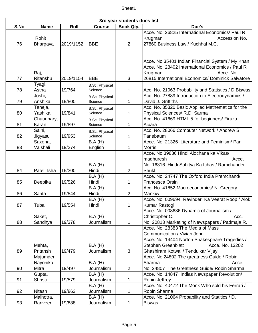| 3rd year students dues list |               |           |                       |                |                                                      |  |  |
|-----------------------------|---------------|-----------|-----------------------|----------------|------------------------------------------------------|--|--|
| S.No                        | <b>Name</b>   | Roll      | <b>Course</b>         | Book Qty.      | Due's                                                |  |  |
|                             |               |           |                       |                | Acce. No. 26825 International Economics/ Paul R      |  |  |
|                             | Rohit         |           |                       |                | Krugman<br>Accession No.                             |  |  |
| 76                          | Bhargava      | 2019/1152 | <b>BBE</b>            | $\overline{2}$ | 27860 Business Law / Kuchhal M.C.                    |  |  |
|                             |               |           |                       |                |                                                      |  |  |
|                             |               |           |                       |                |                                                      |  |  |
|                             |               |           |                       |                | Acce. No 35401 Indian Financial System / My Khan     |  |  |
|                             |               |           |                       |                | Acce. No. 28402 International Economics / Paul R     |  |  |
|                             | Raj,          |           |                       |                | Krugman<br>Acce. No.                                 |  |  |
| 77                          | Ritanshu      | 2019/1154 | <b>IBBE</b>           | 3              | 26815 International Economics/ Dominick Salvatore    |  |  |
|                             | Tyagi,        |           | <b>B.Sc. Physical</b> |                |                                                      |  |  |
| 78                          | Astha         | 19/764    | Science               | 1              | Acc. No. 21063 Probability and Statistics / D Biswas |  |  |
|                             | Joshi,        |           | <b>B.Sc. Physical</b> |                | Acc. No. 27889 Introduction to Electrodynamics /     |  |  |
| 79                          | Anshika       | 19/800    | Science               | 1              | David J. Griffiths                                   |  |  |
|                             | Taneja,       |           | <b>B.Sc. Physical</b> |                | Acc. No. 35320 Basic Applied Mathematics for the     |  |  |
| 80                          | Yashika       | 19/841    | Science               | 1              | Physical Sciences/ R.D. Sarma                        |  |  |
|                             | Chaudhary,    |           | <b>B.Sc. Physical</b> |                | Acc. No. 41669 HTML 5 for beginners/ Firuza          |  |  |
| 81                          | Karan         | 19/897    | Science               | 1              | Aibara                                               |  |  |
|                             | Saini,        |           | <b>B.Sc. Physical</b> |                | Acc. No. 28066 Computer Network / Andrew S           |  |  |
| 82                          | Jigyasu       | 19/953    | Science               | 1              | Tanebaum                                             |  |  |
|                             | Saxena,       |           | B.A(H)                |                | Acce. No. 21326 Literature and Feminism/ Pan         |  |  |
| 83                          | Vaishali      | 19/274    | English               | 1              | <b>Morris</b>                                        |  |  |
|                             |               |           |                       |                | Acce. No.39836 Hindi Alochana ka Vikas/              |  |  |
|                             |               |           |                       |                | madhuresh<br>Acce.                                   |  |  |
|                             |               |           | B.A(H)                |                | No. 16316 Hindi Sahitya Ka Itihas / Ramchander       |  |  |
| 84                          | Patel, Isha   | 19/300    | Hindi                 | 2              | <b>Shukl</b>                                         |  |  |
|                             |               |           | B.A(H)                |                | Acce. No. 24747 The Oxford India Premchand/          |  |  |
| 85                          | Deepika       | 19/526    | Hindi                 | 1              | Francesca Orsini                                     |  |  |
|                             |               |           | $\overline{B}$ .A (H) |                | Acc. No. 41852 Macroeconomics/ N. Gregory            |  |  |
| 86                          | Sarita        | 19/544    | Hindi                 | $\overline{2}$ | Mankiw                                               |  |  |
|                             |               |           | <b>B.A</b> (H)        |                | Acce. No. 009694 Ravinder Ka Veerat Roop / Alok      |  |  |
| 87                          | Tuba          | 19/554    | Hindi                 | 1              | Kumar Rastogi                                        |  |  |
|                             |               |           |                       |                | Acce. No. 008636 Dynamic of Journalism /             |  |  |
|                             | Saket,        |           | B.A(H)                |                | Christopher C.<br>Acc.                               |  |  |
| 88                          | Sandhya       | 19/378    | Journalism            | 1              | No. 20813 Marketing of Newspapers / Padmaja R.       |  |  |
|                             |               |           |                       |                | Acce. No. 28383 The Media of Mass                    |  |  |
|                             |               |           |                       |                | Communication / Vivian John                          |  |  |
|                             |               |           |                       |                | Acce. No. 14404 Norton Shakespeare Tragedies /       |  |  |
|                             | Mehta,        |           | B.A(H)                |                | Acce. No. 13202<br><b>Stephen Greenblatt</b>         |  |  |
| 89                          | Pritansh      | 19/479    | Journalism            | 3              | Ghashiram Kotwal / Tendulkar Vijay                   |  |  |
|                             | Majumder,     |           |                       |                | Acce. No 24802 The greatness Guide / Robin           |  |  |
|                             | Nayonika      |           | B.A(H)                |                | Sharma<br>Acce.                                      |  |  |
| 90                          | Mitra         | 19/497    | Journalism            | $\overline{2}$ | No. 24807 The Greatness Guide/ Robin Sharma          |  |  |
|                             | Gupta,        |           | B.A(H)                |                | Acce. No. 14847 Indias Newspaper Revolution/         |  |  |
| 91                          | Shristi       | 19/579    | Journalism            | 1              | Robin Jeffrey                                        |  |  |
|                             |               |           | B.A(H)                |                | Acce. No. 40472 The Monk Who sold his Ferrari /      |  |  |
| 92                          | <b>Nitesh</b> | 19/863    | Journalism            | 1              | Robin Sharma                                         |  |  |
|                             | Malhotra,     |           | B.A(H)                |                | Acce. No. 21064 Probability and Statitics / D.       |  |  |
| 93                          | Ranveer       | 19/888    | Journalism            | 1              | <b>Biswas</b>                                        |  |  |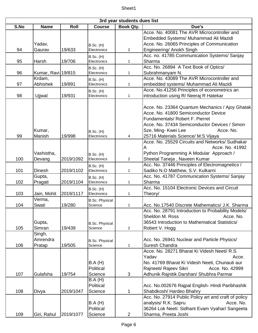|      | 3rd year students dues list  |           |                                  |                |                                                                                                                                                                                                                                                        |  |  |  |
|------|------------------------------|-----------|----------------------------------|----------------|--------------------------------------------------------------------------------------------------------------------------------------------------------------------------------------------------------------------------------------------------------|--|--|--|
| S.No | <b>Name</b>                  | Roll      | <b>Course</b>                    | Book Qty.      | Due's                                                                                                                                                                                                                                                  |  |  |  |
|      | Yadav,                       |           | <b>B.Sc. (H)</b>                 |                | Acce. No. 40081 The AVR Microcontroller and<br>Embedded Systems/ Muhammad Ali Mazidi<br>Acce. No. 26065 Principles of Communication                                                                                                                    |  |  |  |
| 94   | Gaurav                       | 19/633    | Electronics                      | $\overline{2}$ | Engineering/ Anokh Singh                                                                                                                                                                                                                               |  |  |  |
| 95   | Harsh                        | 19/706    | <b>B.Sc. (H)</b><br>Electronics  | 1              | Acc. no. 41785 Communication Systems/ Sanjay<br>Sharma                                                                                                                                                                                                 |  |  |  |
| 96   | Kumar, Ravi 19/815           |           | <b>B.Sc. (H)</b><br>Electronics  | 1              | Acc. No. 26894 A Text Book of Optics/<br>Subrahmanyam N.                                                                                                                                                                                               |  |  |  |
| 97   | Krdam,<br>Abhishek           | 19/891    | <b>B.Sc. (H)</b><br>Electronics  | 1              | Acce. No. 43089 The AVR Microcontroller and<br>embedded systems/ Muhammad Ali Mazidi                                                                                                                                                                   |  |  |  |
| 98   | Ujjwal                       | 19/931    | <b>B.Sc. (H)</b><br>Electronics  | $\mathbf{1}$   | Acce. No.41256 Principles of econometrics an<br>introduction using R/ Neeraj R Hatekar                                                                                                                                                                 |  |  |  |
| 99   | Kumar,<br>Manish             | 19/998    | <b>B.Sc. (H)</b><br>Electronics  | 4              | Acce. No. 23364 Quantum Mechanics / Ajoy Ghatak<br>Acce. No. 41800 Semiconductor Device<br>Fundamentals/ Robert F. Pierret<br>Acce. No. 37434 Semiconductor Devices / Simon<br>Sze, Ming- Kwei Lee<br>Acce. No.<br>25716 Materials Science/ M.S Vijaya |  |  |  |
|      | Vashistha,                   |           | <b>B.Sc. (H)</b>                 |                | Acce. No. 25529 Circuits and Networks/ Sudhakar<br>Acce. No. 41992<br>А<br>Python Programming A Modular Approach /                                                                                                                                     |  |  |  |
| 100  | Devang                       | 2019/1092 | Electronics                      | 2              | Sheetal Taneja, Naveen Kumar<br>Acc. No. 37446 Principles of Electromagnetics /                                                                                                                                                                        |  |  |  |
| 101  | <b>Dinesh</b>                | 2019/1102 | <b>B.Sc. (H)</b><br>Electronics  | 1              | Sadiko N.O Matthew, S.V. Kulkarni                                                                                                                                                                                                                      |  |  |  |
| 102  | Gupta,<br>Pragati            | 2019/1104 | <b>B.Sc. (H)</b><br>Electronics  | 1              | Acc. No. 41787 Communication Systems/ Sanjay<br>Sharma                                                                                                                                                                                                 |  |  |  |
| 103  | Jain, Mohit                  | 2019/1117 | <b>B.Sc. (H)</b><br>Electronics  | 1              | Acc. No. 15104 Electronic Devices and Circuit<br>Theory/                                                                                                                                                                                               |  |  |  |
| 104  | Verma,<br>Swati              | 19/280    | <b>B.Sc. Physical</b><br>Science |                | Acc. No.17540 Discrete Mathematics/ J.K. Sharma                                                                                                                                                                                                        |  |  |  |
| 105  | Gupta,<br>Simran             | 19/439    | <b>B.Sc. Physical</b><br>Science | $\overline{2}$ | Acc. No. 28791 Introduction to Probability Models/<br>Acce. No.<br>Sheldon M. Ross<br>36543 Introduction to Mathematical Statistics/<br>Robert V. Hogg                                                                                                 |  |  |  |
| 106  | Singh,<br>Amrendra<br>Pratap | 19/505    | <b>B.Sc. Physical</b><br>Science | 1              | Acc. No. 26941 Nuclear and Particle Physics/<br>Suresh Chandra                                                                                                                                                                                         |  |  |  |
| 107  | Gulafsha                     | 19/754    | B.A(H)<br>Political<br>Science   | 3              | Acce. No. 28271 Bharat Ki Videsh Neeti/ R.S.<br>Yadav<br>Acce.<br>No. 41769 Bharat Ki Videsh Neeti, Chunauti aur<br>Rajneeti/ Rajeev Sikri<br>Acce. No. 42999<br>Adhunik Rajnitik Darshan/ Shubhra Parmar                                              |  |  |  |
| 108  | Divya                        | 2019/1047 | B.A(H)<br>Political<br>Science   | 1              | Acc. No.002676 Rajpal English-Hindi Paribhashik<br>Shabdkosh/ Hardeo Bhahry                                                                                                                                                                            |  |  |  |
| 109  | Giri, Rahul                  | 2019/1077 | B.A(H)<br>Political<br>Science   | $\overline{2}$ | Acc. No. 27914 Public Policy art and craft of policy<br>analysis/ R.K. Sapru<br>Acce. No.<br>36264 Lok Neeti: Sidhant Evam Vyahar/ Sangeeta<br>Sharma, Preeta Joshi                                                                                    |  |  |  |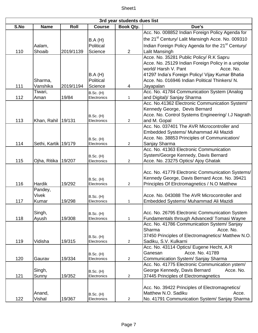| 3rd year students dues list |                         |           |                                 |                  |                                                                |  |  |  |
|-----------------------------|-------------------------|-----------|---------------------------------|------------------|----------------------------------------------------------------|--|--|--|
| S.No                        | <b>Name</b>             | Roll      | <b>Course</b>                   | <b>Book Qty.</b> | Due's                                                          |  |  |  |
|                             |                         |           |                                 |                  | Acc. No. 008852 Indian Foreign Policy Agenda for               |  |  |  |
|                             |                         |           | B.A(H)                          |                  | the 21 <sup>st</sup> Century/ Lalit Mansingh Acce. No. 009310  |  |  |  |
|                             | Aalam,                  |           | Political                       |                  | Indian Foreign Policy Agenda for the 21 <sup>st</sup> Century/ |  |  |  |
| 110                         | Shoaib                  | 2019/1139 | Science                         | $\overline{2}$   | Lalit Mansingh                                                 |  |  |  |
|                             |                         |           |                                 |                  | Acce. No. 35281 Public Policy/ R.K Sapru                       |  |  |  |
|                             |                         |           |                                 |                  | Acce. No. 25129 Indian Foreign Policy in a unipolar            |  |  |  |
|                             |                         |           |                                 |                  | world/ Harsh V. Pant<br>Acce. No.                              |  |  |  |
|                             |                         |           | B.A(H)                          |                  | 41297 India's Foreign Policy/ Vijay Kumar Bhatia               |  |  |  |
|                             | Sharma,                 |           | Political                       |                  | Acce. No. 016946 Indian Political Thinkers/N.                  |  |  |  |
| 111                         | Vanshika                | 2019/1194 | Science                         | 4                | Jayapalan                                                      |  |  |  |
|                             | Tiwari,                 |           | <b>B.Sc. (H)</b>                |                  | Acc. No. 41784 Communication System (Analog                    |  |  |  |
| 112                         | Aman                    | 19/84     | Electronics                     | 1                | and Digital)/ Sanjay Sharma                                    |  |  |  |
|                             |                         |           |                                 |                  | Acc. No.41362 Electronic Communication System/                 |  |  |  |
|                             |                         |           |                                 |                  | Kennedy George, Devis Bernard                                  |  |  |  |
|                             |                         |           | <b>B.Sc. (H)</b>                |                  | Acce. No. Control Systems Engineering/ I.J Nagrath             |  |  |  |
| 113                         | Khan, Rahil             | 19/131    | Electronics                     | $\overline{2}$   | and M. Gopal                                                   |  |  |  |
|                             |                         |           |                                 |                  | Acc. No. 037401 The AVR Microcontroller and                    |  |  |  |
|                             |                         |           |                                 |                  | Embedded Systems/ Muhammad Ali Mazidi                          |  |  |  |
|                             |                         |           | <b>B.Sc. (H)</b>                |                  | Acce. No. 38853 Principles of Communication/                   |  |  |  |
| 114                         | Sethi, Kartik 19/179    |           | Electronics                     | 2                | Sanjay Sharma                                                  |  |  |  |
|                             |                         |           |                                 |                  | Acc. No. 41363 Electronic Communication                        |  |  |  |
|                             |                         |           | <b>B.Sc. (H)</b>                |                  | System/George Kennedy, Davis Bernard                           |  |  |  |
| 115                         | Ojha, Ritika 19/207     |           | Electronics                     | $\overline{2}$   | Acce. No. 23275 Optics/ Ajoy Ghatak                            |  |  |  |
|                             |                         |           |                                 |                  |                                                                |  |  |  |
|                             |                         |           |                                 |                  | Acc. No. 41779 Electronic Communication Systems/               |  |  |  |
|                             |                         |           | <b>B.Sc. (H)</b>                |                  | Kennedy George, Davis Bernard Acce. No. 39421                  |  |  |  |
| 116                         | Hardik                  | 19/292    | Electronics                     | $\overline{2}$   | Principles Of Elrctromagnetics / N.O Matthew                   |  |  |  |
|                             | Pandey,<br><b>Vivek</b> |           |                                 |                  | Acce. No. 043088 The AVR Microcontroller and                   |  |  |  |
| 117                         |                         | 19/298    | <b>B.Sc. (H)</b>                |                  |                                                                |  |  |  |
|                             | Kumar                   |           | Electronics                     | 1                | Embedded Systems/ Muhammad Ali Mazidi                          |  |  |  |
|                             | Singh,                  |           |                                 |                  | Acc. No. 26795 Electronic Communication System                 |  |  |  |
| 118                         | Ayush                   | 19/308    | <b>B.Sc. (H)</b><br>Electronics | $\mathbf{1}$     | Fundamentals through Advanced/ Tomasi Wayne                    |  |  |  |
|                             |                         |           |                                 |                  | Acc. No. 41786 Communication System/ Sanjay                    |  |  |  |
|                             |                         |           |                                 |                  | Sharma<br>Acce. No.                                            |  |  |  |
|                             |                         |           |                                 |                  | 37450 Principles of Electromagnetics/ Matthew N.O.             |  |  |  |
| 119                         | Vidisha                 | 19/315    | <b>B.Sc. (H)</b><br>Electronics | 2                | Sadiku, S.V. Kulkarni                                          |  |  |  |
|                             |                         |           |                                 |                  | Acc. No. 43114 Optics/ Eugene Hecht, A.R                       |  |  |  |
|                             |                         |           |                                 |                  | Acce. No. 41789<br>Ganesan                                     |  |  |  |
| 120                         | Gaurav                  | 19/334    | <b>B.Sc. (H)</b><br>Electronics | $\overline{c}$   | Communication System/ Sanjay Sharma                            |  |  |  |
|                             |                         |           |                                 |                  | Acc. No. 41775 Electronic Communication ystem/                 |  |  |  |
|                             | Singh,                  |           | <b>B.Sc. (H)</b>                |                  | George Kennedy, Davis Bernard<br>Acce. No.                     |  |  |  |
| 121                         | Sunny                   | 19/352    | Electronics                     | $\overline{2}$   | 37445 Principles of Electromagnetics                           |  |  |  |
|                             |                         |           |                                 |                  |                                                                |  |  |  |
|                             |                         |           |                                 |                  | Acc. No. 39422 Principles of Electromagnetics/                 |  |  |  |
|                             | Anand,                  |           | <b>B.Sc. (H)</b>                |                  | Matthew N.O. Sadiku<br>Acce.                                   |  |  |  |
| 122                         | Vishal                  | 19/367    | Electronics                     | $\overline{c}$   | No. 41791 Communication System/ Sanjay Sharma                  |  |  |  |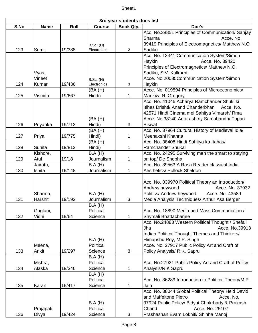| 3rd year students dues list |                                |        |                                                     |                |                                                                                                                                                                                                                                       |  |  |
|-----------------------------|--------------------------------|--------|-----------------------------------------------------|----------------|---------------------------------------------------------------------------------------------------------------------------------------------------------------------------------------------------------------------------------------|--|--|
| S.No                        | <b>Name</b>                    | Roll   | <b>Course</b>                                       | Book Qty.      | Due's                                                                                                                                                                                                                                 |  |  |
|                             |                                |        | <b>B.Sc. (H)</b>                                    |                | Acc. No.38851 Principles of Communication/ Sanjay<br>Sharma<br>Acce. No.<br>39419 Principles of Electromagnetics/ Matthew N.O                                                                                                         |  |  |
| 123                         | Sumit                          | 19/388 | Electronics                                         | $\overline{2}$ | Sadiku                                                                                                                                                                                                                                |  |  |
|                             | Vyas,                          |        |                                                     |                | Acc. No. 13341 Communication System/Simon<br>Acce. No. 39420<br>Haykin<br>Principles of Electromagnetics/ Matthew N.O.<br>Sadiku, S.V. Kulkarni                                                                                       |  |  |
|                             | Vineet                         |        | <b>B.Sc. (H)</b>                                    |                | Acce. No.20085Communication System/Simon                                                                                                                                                                                              |  |  |
| 124                         | Kumar                          | 19/436 | Electronics                                         | 3              | Haykin                                                                                                                                                                                                                                |  |  |
| 125                         | Vismita                        | 19/667 | (BA(H))                                             | 1              | Acce. No. 019594 Principles of Microeconomics/                                                                                                                                                                                        |  |  |
| 126                         | Priyanka                       | 19/713 | Hindi)<br>(BA(H))<br>Hindi)                         | 3              | Mankiw, N. Gregory<br>Acc. No. 41046 Acharya Ramchander Shukl ki<br>Itihas Drishti/ Anand Chanderbhan<br>Acce. No.<br>42571 Hindi Cinema mei Sahitya Vimarsh/ Rma<br>Acce. No.38140 Antarashtriy Samabandh/ Tapan<br><b>Biswal</b>    |  |  |
|                             |                                |        | (BA(H))                                             |                | Acc. No. 37964 Cultural History of Medieval Idia/                                                                                                                                                                                     |  |  |
| 127                         | Priya                          | 19/775 | Hindi)                                              | 1              | Meenakshi Khanna                                                                                                                                                                                                                      |  |  |
|                             |                                |        | (BA(H))                                             |                | Acc. No. 38408 Hindi Sahitya ka Itahas/                                                                                                                                                                                               |  |  |
| 128                         | Sunita                         | 19/812 | Hindi)                                              | 1              | <b>Ramchander Shukal</b>                                                                                                                                                                                                              |  |  |
|                             | Kishore,                       |        | B.A(H)                                              |                | Acc. No. 24295 Surviving men the smart to staying                                                                                                                                                                                     |  |  |
| 129                         | Atul                           | 19/18  | Journalism                                          | 1              | on top/ De Shobha                                                                                                                                                                                                                     |  |  |
|                             | Jairath,                       |        | B.A(H)                                              |                | Acc. No. 39563 A Rasa Reader classical India                                                                                                                                                                                          |  |  |
| 130                         | Ishita                         | 19/148 | Journalism                                          | 1              | <b>Aesthetics/ Pollock Sheldon</b>                                                                                                                                                                                                    |  |  |
| 131                         | Sharma,<br>Harshit<br>Guglani, | 19/192 | B.A(H)<br>Journalism<br><b>B.A</b> (H)<br>Political | 3              | Acc. No. 039970 Political Theory an Introduction/<br>Andrew heywood<br>Acce. No. 37932<br>Politics/ Andrew heywood<br>Acce. No. 43589<br>Media Analysis Techniques/ Arthur Asa Berger<br>Acc. No. 18890 Media and Mass Communiation / |  |  |
| 132                         | Vidhi<br>Meena,                | 19/64  | Science<br>B.A(H)<br>Political                      | 1              | Shymali Bhattacharjee<br>Acc. No.24883 Western Political Thought / Shefali<br>Acce. No.39913<br>Jha<br>Indian Political Thought Themes and Thinkers/<br>Himanshu Roy, M.P. Singh<br>Acce. No. 27917 Public Policy Art and Craft of    |  |  |
| 133                         | Ankit                          | 19/297 | Science                                             | 3              | Policy Analysis/ R.K. Sapru                                                                                                                                                                                                           |  |  |
| 134                         | Mishra,<br>Alaska              | 19/346 | B.A(H)<br>Political<br>Science<br>B.A(H)            | 1              | Acc. No.27921 Public Policy Art and Craft of Policy<br>Analysis/R.K Sapru                                                                                                                                                             |  |  |
| 135                         | Karan                          | 19/417 | Political<br>Science                                | 1              | Acc. No. 36289 Introduction to Political Theory/M.P.<br>Jain                                                                                                                                                                          |  |  |
| 136                         | Prajapati,<br>Divya            | 19/424 | B.A(H)<br>Political<br>Science                      | 3              | Acc. No. 38044 Global Political Theory/ Held David<br>and Maffeltone Pietro<br>Acce. No.<br>37924 Public Policy/ Bidyut Chakrbarty & Prakash<br>Acce. No. 25107<br>Chand<br>Prashashan Evam Lokniti/ Shinha Manoj                     |  |  |